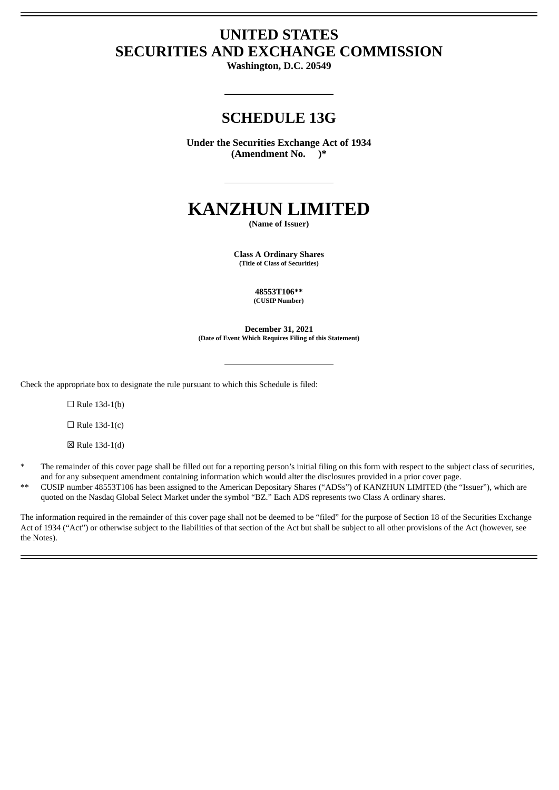# **UNITED STATES SECURITIES AND EXCHANGE COMMISSION**

**Washington, D.C. 20549**

## **SCHEDULE 13G**

**Under the Securities Exchange Act of 1934 (Amendment No. )\***

# **KANZHUN LIMITED**

**(Name of Issuer)**

**Class A Ordinary Shares (Title of Class of Securities)**

> **48553T106\*\* (CUSIP Number)**

**December 31, 2021 (Date of Event Which Requires Filing of this Statement)**

Check the appropriate box to designate the rule pursuant to which this Schedule is filed:

 $\Box$  Rule 13d-1(b)

 $\Box$  Rule 13d-1(c)

☒ Rule 13d-1(d)

- The remainder of this cover page shall be filled out for a reporting person's initial filing on this form with respect to the subject class of securities, and for any subsequent amendment containing information which would alter the disclosures provided in a prior cover page.
- \*\* CUSIP number 48553T106 has been assigned to the American Depositary Shares ("ADSs") of KANZHUN LIMITED (the "Issuer"), which are quoted on the Nasdaq Global Select Market under the symbol "BZ." Each ADS represents two Class A ordinary shares.

The information required in the remainder of this cover page shall not be deemed to be "filed" for the purpose of Section 18 of the Securities Exchange Act of 1934 ("Act") or otherwise subject to the liabilities of that section of the Act but shall be subject to all other provisions of the Act (however, see the Notes).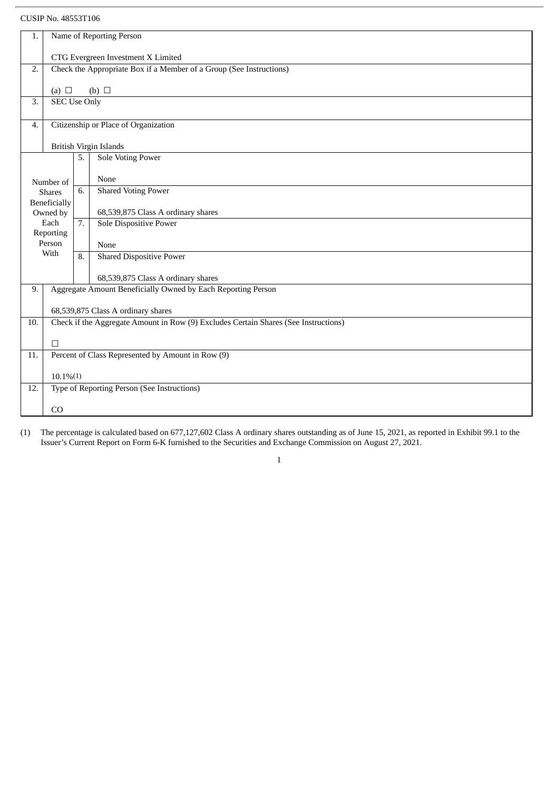| 1.                                                                 | Name of Reporting Person                                            |    |                                                                                     |
|--------------------------------------------------------------------|---------------------------------------------------------------------|----|-------------------------------------------------------------------------------------|
|                                                                    |                                                                     |    | CTG Evergreen Investment X Limited                                                  |
| 2.                                                                 | Check the Appropriate Box if a Member of a Group (See Instructions) |    |                                                                                     |
|                                                                    |                                                                     |    |                                                                                     |
| 3.                                                                 | (b) $\Box$<br>(a) $\Box$<br><b>SEC Use Only</b>                     |    |                                                                                     |
|                                                                    |                                                                     |    |                                                                                     |
| Citizenship or Place of Organization<br>4.                         |                                                                     |    |                                                                                     |
| British Virgin Islands                                             |                                                                     |    |                                                                                     |
|                                                                    |                                                                     | 5. | <b>Sole Voting Power</b>                                                            |
|                                                                    |                                                                     |    | None                                                                                |
|                                                                    | Number of<br><b>Shares</b>                                          | 6. | <b>Shared Voting Power</b>                                                          |
|                                                                    | Beneficially                                                        |    |                                                                                     |
|                                                                    | Owned by<br>Each                                                    |    | 68,539,875 Class A ordinary shares                                                  |
|                                                                    | Reporting                                                           | 7. | <b>Sole Dispositive Power</b>                                                       |
|                                                                    | Person                                                              |    | None                                                                                |
|                                                                    | With                                                                | 8. | <b>Shared Dispositive Power</b>                                                     |
|                                                                    |                                                                     |    | 68,539,875 Class A ordinary shares                                                  |
| Aggregate Amount Beneficially Owned by Each Reporting Person<br>9. |                                                                     |    |                                                                                     |
|                                                                    |                                                                     |    | 68,539,875 Class A ordinary shares                                                  |
| 10.                                                                |                                                                     |    | Check if the Aggregate Amount in Row (9) Excludes Certain Shares (See Instructions) |
|                                                                    |                                                                     |    |                                                                                     |
| 11.                                                                | $\Box$                                                              |    | Percent of Class Represented by Amount in Row (9)                                   |
|                                                                    |                                                                     |    |                                                                                     |
|                                                                    | $10.1\%(1)$                                                         |    |                                                                                     |
| 12.                                                                |                                                                     |    | Type of Reporting Person (See Instructions)                                         |
|                                                                    | CO                                                                  |    |                                                                                     |
|                                                                    |                                                                     |    |                                                                                     |

(1) The percentage is calculated based on 677,127,602 Class A ordinary shares outstanding as of June 15, 2021, as reported in Exhibit 99.1 to the Issuer's Current Report on Form 6-K furnished to the Securities and Exchange Commission on August 27, 2021.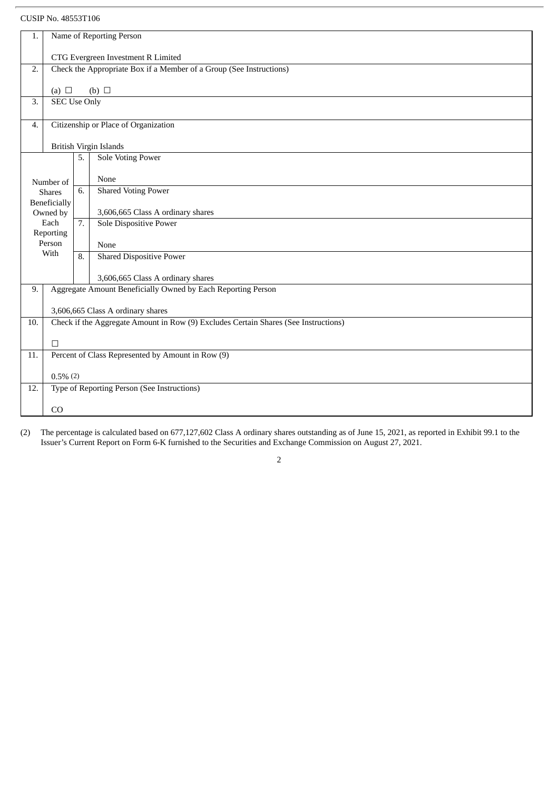| 1.                                                                        | Name of Reporting Person                                     |    |                                                                                     |
|---------------------------------------------------------------------------|--------------------------------------------------------------|----|-------------------------------------------------------------------------------------|
|                                                                           |                                                              |    | CTG Evergreen Investment R Limited                                                  |
| Check the Appropriate Box if a Member of a Group (See Instructions)<br>2. |                                                              |    |                                                                                     |
|                                                                           |                                                              |    |                                                                                     |
| (a) $\Box$<br>(b) $\Box$<br><b>SEC Use Only</b><br>3.                     |                                                              |    |                                                                                     |
|                                                                           |                                                              |    |                                                                                     |
| Citizenship or Place of Organization<br>4.                                |                                                              |    |                                                                                     |
| British Virgin Islands                                                    |                                                              |    |                                                                                     |
|                                                                           |                                                              | 5. | <b>Sole Voting Power</b>                                                            |
|                                                                           | Number of                                                    |    | None                                                                                |
|                                                                           | <b>Shares</b>                                                | 6. | <b>Shared Voting Power</b>                                                          |
|                                                                           | Beneficially                                                 |    |                                                                                     |
|                                                                           | Owned by<br>Each                                             | 7. | 3,606,665 Class A ordinary shares<br><b>Sole Dispositive Power</b>                  |
|                                                                           | Reporting                                                    |    |                                                                                     |
|                                                                           | Person<br>With                                               |    | None                                                                                |
|                                                                           |                                                              | 8. | <b>Shared Dispositive Power</b>                                                     |
|                                                                           |                                                              |    | 3,606,665 Class A ordinary shares                                                   |
| 9.                                                                        | Aggregate Amount Beneficially Owned by Each Reporting Person |    |                                                                                     |
|                                                                           |                                                              |    | 3,606,665 Class A ordinary shares                                                   |
| 10.                                                                       |                                                              |    | Check if the Aggregate Amount in Row (9) Excludes Certain Shares (See Instructions) |
|                                                                           | $\Box$                                                       |    |                                                                                     |
| 11.                                                                       | Percent of Class Represented by Amount in Row (9)            |    |                                                                                     |
|                                                                           |                                                              |    |                                                                                     |
| 12.                                                                       | $0.5\%$ $(2)$<br>Type of Reporting Person (See Instructions) |    |                                                                                     |
|                                                                           |                                                              |    |                                                                                     |
|                                                                           | CO                                                           |    |                                                                                     |

(2) The percentage is calculated based on 677,127,602 Class A ordinary shares outstanding as of June 15, 2021, as reported in Exhibit 99.1 to the Issuer's Current Report on Form 6-K furnished to the Securities and Exchange Commission on August 27, 2021.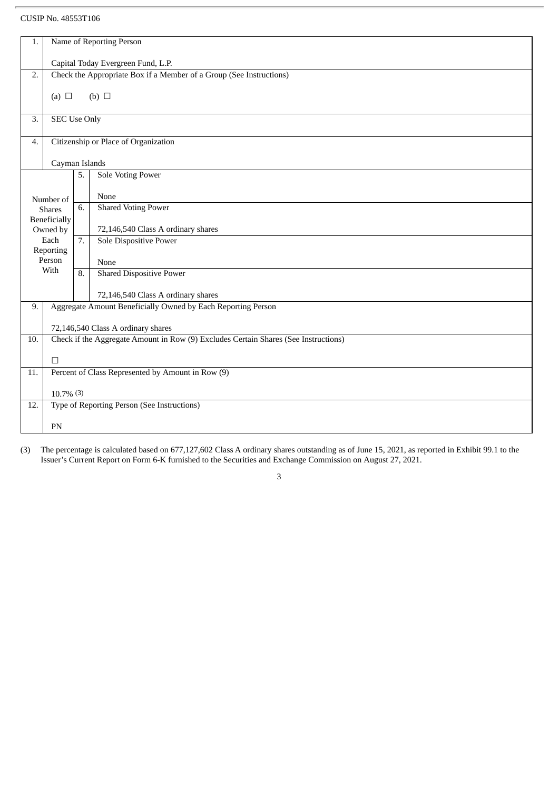| 1.               | Name of Reporting Person                                            |    |                                                                                     |  |  |
|------------------|---------------------------------------------------------------------|----|-------------------------------------------------------------------------------------|--|--|
|                  |                                                                     |    |                                                                                     |  |  |
|                  | Capital Today Evergreen Fund, L.P.                                  |    |                                                                                     |  |  |
| 2.               | Check the Appropriate Box if a Member of a Group (See Instructions) |    |                                                                                     |  |  |
|                  |                                                                     |    |                                                                                     |  |  |
|                  | (b) $\Box$<br>(a) $\Box$                                            |    |                                                                                     |  |  |
|                  |                                                                     |    |                                                                                     |  |  |
| $\overline{3}$ . | <b>SEC Use Only</b>                                                 |    |                                                                                     |  |  |
|                  |                                                                     |    |                                                                                     |  |  |
| $\overline{4}$ . |                                                                     |    | Citizenship or Place of Organization                                                |  |  |
|                  |                                                                     |    |                                                                                     |  |  |
| Cayman Islands   |                                                                     |    | <b>Sole Voting Power</b>                                                            |  |  |
|                  |                                                                     | 5. |                                                                                     |  |  |
|                  |                                                                     |    | None                                                                                |  |  |
|                  | Number of<br><b>Shares</b>                                          | 6. | <b>Shared Voting Power</b>                                                          |  |  |
|                  | <b>Beneficially</b>                                                 |    |                                                                                     |  |  |
|                  | Owned by                                                            |    | 72,146,540 Class A ordinary shares                                                  |  |  |
|                  | Each                                                                | 7. | <b>Sole Dispositive Power</b>                                                       |  |  |
|                  | Reporting                                                           |    |                                                                                     |  |  |
|                  | Person                                                              |    | None                                                                                |  |  |
|                  | With                                                                | 8. | <b>Shared Dispositive Power</b>                                                     |  |  |
|                  |                                                                     |    |                                                                                     |  |  |
|                  |                                                                     |    | 72,146,540 Class A ordinary shares                                                  |  |  |
| 9.               |                                                                     |    | Aggregate Amount Beneficially Owned by Each Reporting Person                        |  |  |
|                  |                                                                     |    |                                                                                     |  |  |
|                  |                                                                     |    | 72,146,540 Class A ordinary shares                                                  |  |  |
| 10.              |                                                                     |    | Check if the Aggregate Amount in Row (9) Excludes Certain Shares (See Instructions) |  |  |
|                  | $\Box$                                                              |    |                                                                                     |  |  |
|                  |                                                                     |    | Percent of Class Represented by Amount in Row (9)                                   |  |  |
| 11.              |                                                                     |    |                                                                                     |  |  |
|                  | $10.7\%$ (3)                                                        |    |                                                                                     |  |  |
| 12.              | Type of Reporting Person (See Instructions)                         |    |                                                                                     |  |  |
|                  |                                                                     |    |                                                                                     |  |  |
|                  | PN                                                                  |    |                                                                                     |  |  |
|                  |                                                                     |    |                                                                                     |  |  |

(3) The percentage is calculated based on 677,127,602 Class A ordinary shares outstanding as of June 15, 2021, as reported in Exhibit 99.1 to the Issuer's Current Report on Form 6-K furnished to the Securities and Exchange Commission on August 27, 2021.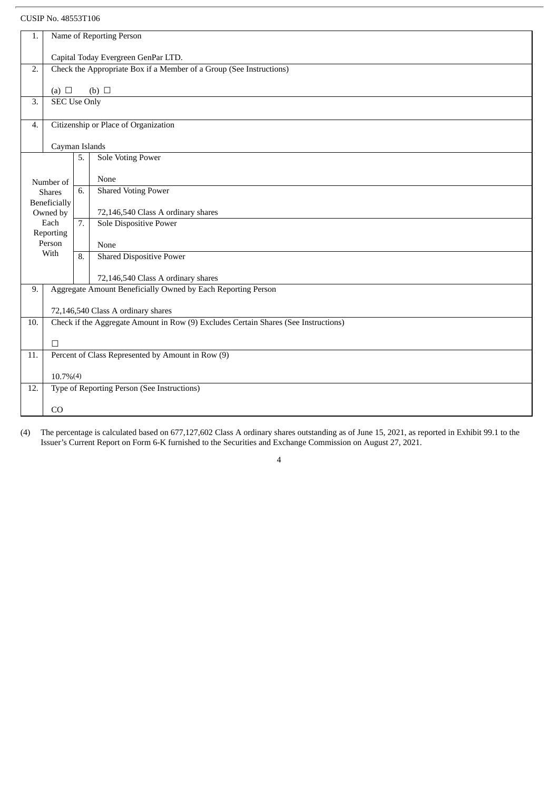| 1.                                                                 | Name of Reporting Person                                                                |                |                                                                                     |  |
|--------------------------------------------------------------------|-----------------------------------------------------------------------------------------|----------------|-------------------------------------------------------------------------------------|--|
|                                                                    |                                                                                         |                |                                                                                     |  |
|                                                                    | Capital Today Evergreen GenPar LTD.                                                     |                |                                                                                     |  |
|                                                                    | Check the Appropriate Box if a Member of a Group (See Instructions)<br>$\overline{2}$ . |                |                                                                                     |  |
|                                                                    | (b) $\Box$<br>(a) $\Box$                                                                |                |                                                                                     |  |
| 3.                                                                 | <b>SEC Use Only</b>                                                                     |                |                                                                                     |  |
|                                                                    |                                                                                         |                |                                                                                     |  |
| Citizenship or Place of Organization<br>4.                         |                                                                                         |                |                                                                                     |  |
|                                                                    |                                                                                         |                |                                                                                     |  |
|                                                                    |                                                                                         | Cayman Islands |                                                                                     |  |
|                                                                    |                                                                                         | 5.             | <b>Sole Voting Power</b>                                                            |  |
|                                                                    |                                                                                         |                | None                                                                                |  |
|                                                                    | Number of<br><b>Shares</b>                                                              | 6.             | <b>Shared Voting Power</b>                                                          |  |
|                                                                    | Beneficially                                                                            |                |                                                                                     |  |
|                                                                    | Owned by                                                                                |                | 72,146,540 Class A ordinary shares                                                  |  |
|                                                                    | Each                                                                                    | 7.             | <b>Sole Dispositive Power</b>                                                       |  |
|                                                                    | Reporting<br>Person                                                                     |                |                                                                                     |  |
|                                                                    | With                                                                                    | 8.             | None<br><b>Shared Dispositive Power</b>                                             |  |
|                                                                    |                                                                                         |                |                                                                                     |  |
|                                                                    |                                                                                         |                | 72,146,540 Class A ordinary shares                                                  |  |
| Aggregate Amount Beneficially Owned by Each Reporting Person<br>9. |                                                                                         |                |                                                                                     |  |
|                                                                    |                                                                                         |                |                                                                                     |  |
|                                                                    |                                                                                         |                | 72,146,540 Class A ordinary shares                                                  |  |
| 10.                                                                |                                                                                         |                | Check if the Aggregate Amount in Row (9) Excludes Certain Shares (See Instructions) |  |
|                                                                    | $\Box$                                                                                  |                |                                                                                     |  |
| 11.                                                                | Percent of Class Represented by Amount in Row (9)                                       |                |                                                                                     |  |
|                                                                    |                                                                                         |                |                                                                                     |  |
|                                                                    | $10.7\%(4)$                                                                             |                |                                                                                     |  |
| 12.                                                                |                                                                                         |                | Type of Reporting Person (See Instructions)                                         |  |
|                                                                    |                                                                                         |                |                                                                                     |  |
|                                                                    | CO                                                                                      |                |                                                                                     |  |

(4) The percentage is calculated based on 677,127,602 Class A ordinary shares outstanding as of June 15, 2021, as reported in Exhibit 99.1 to the Issuer's Current Report on Form 6-K furnished to the Securities and Exchange Commission on August 27, 2021.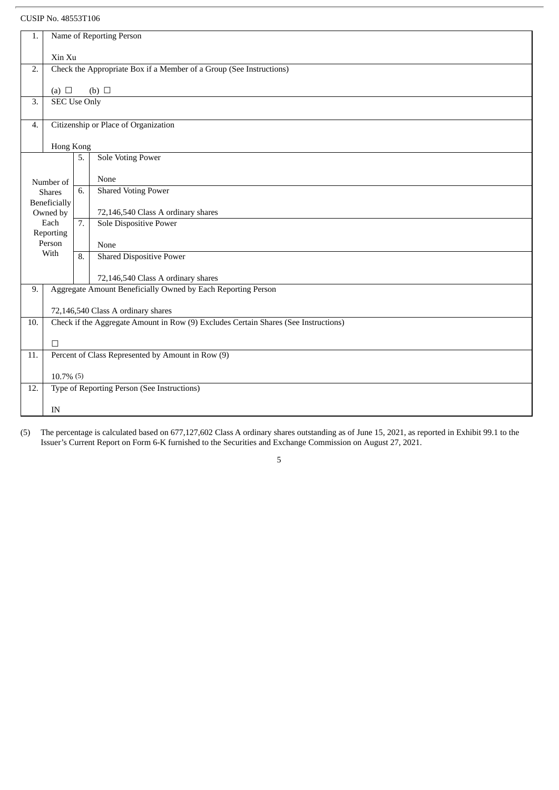| 1.                                         | Name of Reporting Person                                            |           |                                                                                     |  |
|--------------------------------------------|---------------------------------------------------------------------|-----------|-------------------------------------------------------------------------------------|--|
|                                            | Xin Xu                                                              |           |                                                                                     |  |
| 2.                                         | Check the Appropriate Box if a Member of a Group (See Instructions) |           |                                                                                     |  |
|                                            |                                                                     |           |                                                                                     |  |
|                                            | (a) $\Box$<br>(b) $\Box$                                            |           |                                                                                     |  |
|                                            | <b>SEC Use Only</b><br>3.                                           |           |                                                                                     |  |
| Citizenship or Place of Organization<br>4. |                                                                     |           |                                                                                     |  |
|                                            |                                                                     | Hong Kong |                                                                                     |  |
|                                            |                                                                     | 5.        | <b>Sole Voting Power</b>                                                            |  |
|                                            | Number of                                                           |           | None                                                                                |  |
|                                            | <b>Shares</b>                                                       | 6.        | <b>Shared Voting Power</b>                                                          |  |
|                                            | Beneficially<br>Owned by                                            |           | 72,146,540 Class A ordinary shares                                                  |  |
|                                            | Each<br>Reporting                                                   | 7.        | Sole Dispositive Power                                                              |  |
|                                            | Person                                                              |           | None                                                                                |  |
|                                            | With                                                                | 8.        | <b>Shared Dispositive Power</b>                                                     |  |
|                                            |                                                                     |           | 72,146,540 Class A ordinary shares                                                  |  |
| 9.                                         | Aggregate Amount Beneficially Owned by Each Reporting Person        |           |                                                                                     |  |
|                                            |                                                                     |           | 72,146,540 Class A ordinary shares                                                  |  |
| 10.                                        |                                                                     |           | Check if the Aggregate Amount in Row (9) Excludes Certain Shares (See Instructions) |  |
|                                            | $\Box$                                                              |           |                                                                                     |  |
| 11.                                        |                                                                     |           | Percent of Class Represented by Amount in Row (9)                                   |  |
|                                            | $10.7\%$ (5)                                                        |           |                                                                                     |  |
| 12.                                        | Type of Reporting Person (See Instructions)                         |           |                                                                                     |  |
|                                            | IN                                                                  |           |                                                                                     |  |
|                                            |                                                                     |           |                                                                                     |  |

(5) The percentage is calculated based on 677,127,602 Class A ordinary shares outstanding as of June 15, 2021, as reported in Exhibit 99.1 to the Issuer's Current Report on Form 6-K furnished to the Securities and Exchange Commission on August 27, 2021.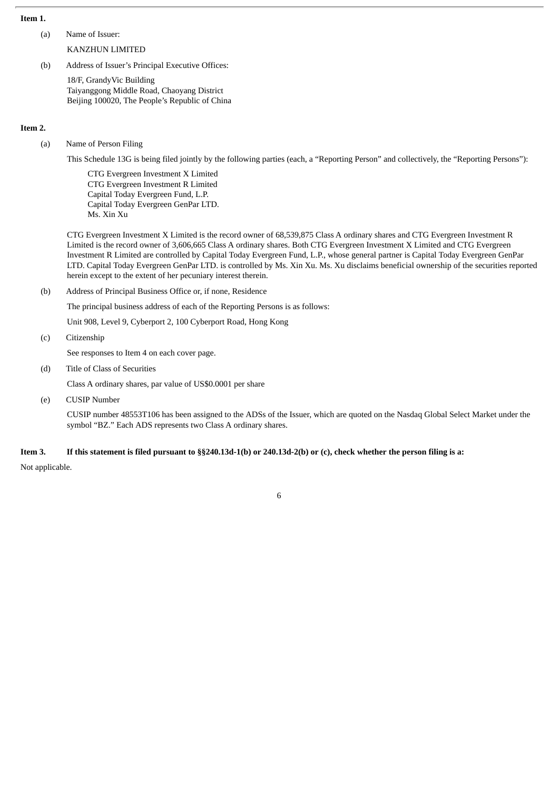## **Item 1.**

(a) Name of Issuer:

KANZHUN LIMITED

(b) Address of Issuer's Principal Executive Offices:

18/F, GrandyVic Building Taiyanggong Middle Road, Chaoyang District Beijing 100020, The People's Republic of China

#### **Item 2.**

(a) Name of Person Filing

This Schedule 13G is being filed jointly by the following parties (each, a "Reporting Person" and collectively, the "Reporting Persons"):

CTG Evergreen Investment X Limited CTG Evergreen Investment R Limited Capital Today Evergreen Fund, L.P. Capital Today Evergreen GenPar LTD. Ms. Xin Xu

CTG Evergreen Investment X Limited is the record owner of 68,539,875 Class A ordinary shares and CTG Evergreen Investment R Limited is the record owner of 3,606,665 Class A ordinary shares. Both CTG Evergreen Investment X Limited and CTG Evergreen Investment R Limited are controlled by Capital Today Evergreen Fund, L.P., whose general partner is Capital Today Evergreen GenPar LTD. Capital Today Evergreen GenPar LTD. is controlled by Ms. Xin Xu. Ms. Xu disclaims beneficial ownership of the securities reported herein except to the extent of her pecuniary interest therein.

(b) Address of Principal Business Office or, if none, Residence

The principal business address of each of the Reporting Persons is as follows:

Unit 908, Level 9, Cyberport 2, 100 Cyberport Road, Hong Kong

(c) Citizenship

See responses to Item 4 on each cover page.

(d) Title of Class of Securities

Class A ordinary shares, par value of US\$0.0001 per share

(e) CUSIP Number

CUSIP number 48553T106 has been assigned to the ADSs of the Issuer, which are quoted on the Nasdaq Global Select Market under the symbol "BZ." Each ADS represents two Class A ordinary shares.

## Item 3. If this statement is filed pursuant to §§240.13d-1(b) or 240.13d-2(b) or (c), check whether the person filing is a:

Not applicable.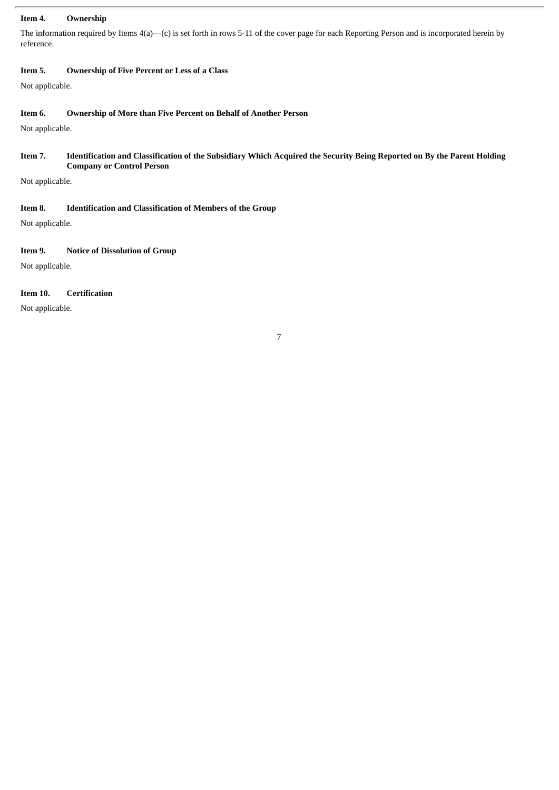#### **Item 4. Ownership**

The information required by Items 4(a)—(c) is set forth in rows 5-11 of the cover page for each Reporting Person and is incorporated herein by reference.

## **Item 5. Ownership of Five Percent or Less of a Class**

Not applicable.

## **Item 6. Ownership of More than Five Percent on Behalf of Another Person**

Not applicable.

## Item 7. Identification and Classification of the Subsidiary Which Acquired the Security Being Reported on By the Parent Holding **Company or Control Person**

Not applicable.

#### **Item 8. Identification and Classification of Members of the Group**

Not applicable.

## **Item 9. Notice of Dissolution of Group**

Not applicable.

## **Item 10. Certification**

Not applicable.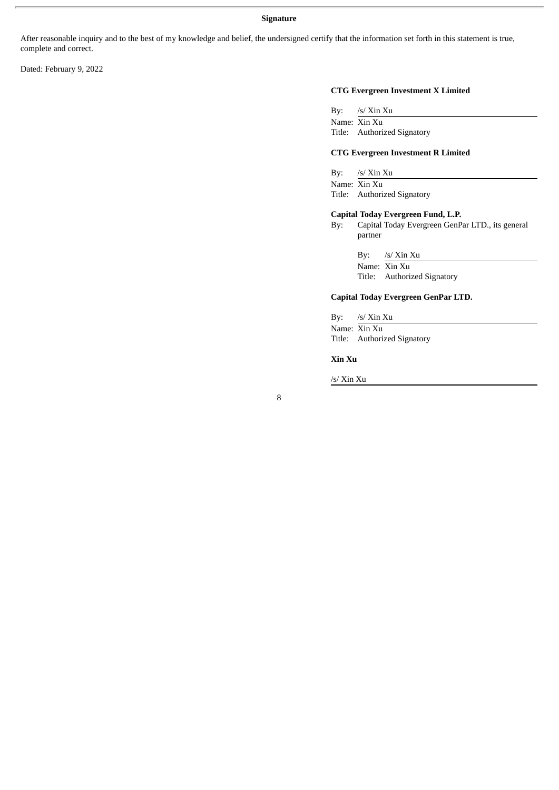#### **Signature**

After reasonable inquiry and to the best of my knowledge and belief, the undersigned certify that the information set forth in this statement is true, complete and correct.

Dated: February 9, 2022

#### **CTG Evergreen Investment X Limited**

By: /s/ Xin Xu Name: Xin Xu Title: Authorized Signatory

#### **CTG Evergreen Investment R Limited**

By: /s/ Xin Xu

Name: Xin Xu Title: Authorized Signatory

#### **Capital Today Evergreen Fund, L.P.**

By: Capital Today Evergreen GenPar LTD., its general partner

By: /s/ Xin Xu

Name: Xin Xu Title: Authorized Signatory

#### **Capital Today Evergreen GenPar LTD.**

By: /s/ Xin Xu Name: Xin Xu Title: Authorized Signatory

**Xin Xu**

/s/ Xin Xu